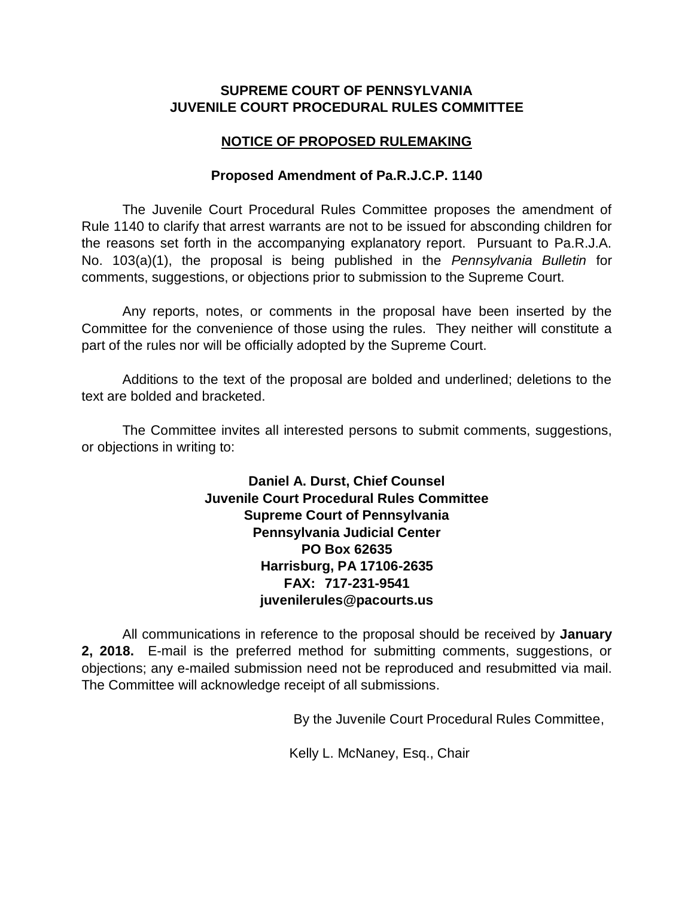### **SUPREME COURT OF PENNSYLVANIA JUVENILE COURT PROCEDURAL RULES COMMITTEE**

### **NOTICE OF PROPOSED RULEMAKING**

### **Proposed Amendment of Pa.R.J.C.P. 1140**

The Juvenile Court Procedural Rules Committee proposes the amendment of Rule 1140 to clarify that arrest warrants are not to be issued for absconding children for the reasons set forth in the accompanying explanatory report. Pursuant to Pa.R.J.A. No. 103(a)(1), the proposal is being published in the *Pennsylvania Bulletin* for comments, suggestions, or objections prior to submission to the Supreme Court.

Any reports, notes, or comments in the proposal have been inserted by the Committee for the convenience of those using the rules. They neither will constitute a part of the rules nor will be officially adopted by the Supreme Court.

Additions to the text of the proposal are bolded and underlined; deletions to the text are bolded and bracketed.

The Committee invites all interested persons to submit comments, suggestions, or objections in writing to:

> **Daniel A. Durst, Chief Counsel Juvenile Court Procedural Rules Committee Supreme Court of Pennsylvania Pennsylvania Judicial Center PO Box 62635 Harrisburg, PA 17106-2635 FAX: 717-231-9541 juvenilerules@pacourts.us**

All communications in reference to the proposal should be received by **January 2, 2018.** E-mail is the preferred method for submitting comments, suggestions, or objections; any e-mailed submission need not be reproduced and resubmitted via mail. The Committee will acknowledge receipt of all submissions.

By the Juvenile Court Procedural Rules Committee,

Kelly L. McNaney, Esq., Chair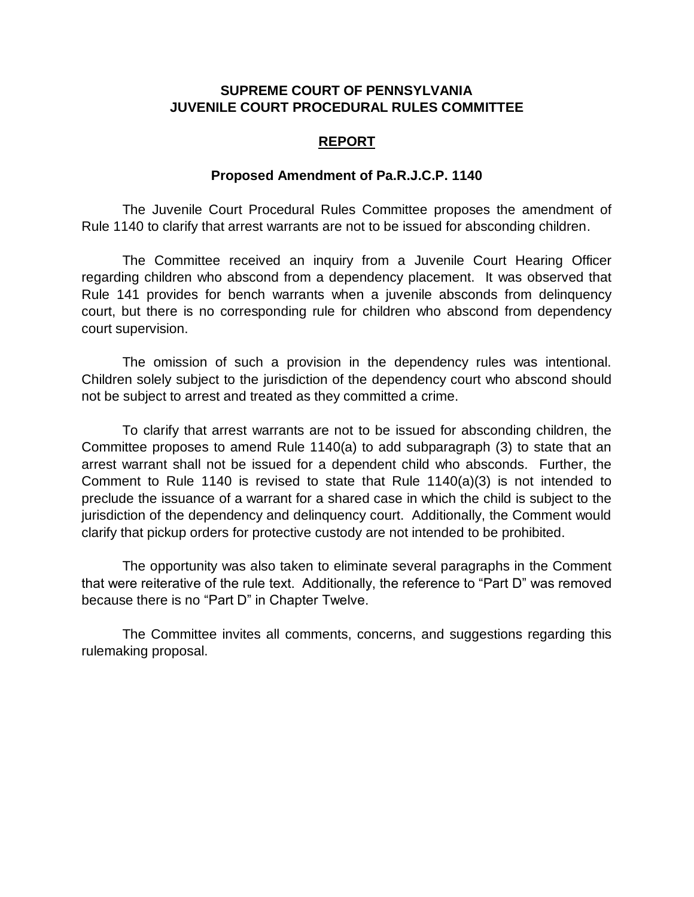### **SUPREME COURT OF PENNSYLVANIA JUVENILE COURT PROCEDURAL RULES COMMITTEE**

#### **REPORT**

#### **Proposed Amendment of Pa.R.J.C.P. 1140**

The Juvenile Court Procedural Rules Committee proposes the amendment of Rule 1140 to clarify that arrest warrants are not to be issued for absconding children.

The Committee received an inquiry from a Juvenile Court Hearing Officer regarding children who abscond from a dependency placement. It was observed that Rule 141 provides for bench warrants when a juvenile absconds from delinquency court, but there is no corresponding rule for children who abscond from dependency court supervision.

The omission of such a provision in the dependency rules was intentional. Children solely subject to the jurisdiction of the dependency court who abscond should not be subject to arrest and treated as they committed a crime.

To clarify that arrest warrants are not to be issued for absconding children, the Committee proposes to amend Rule 1140(a) to add subparagraph (3) to state that an arrest warrant shall not be issued for a dependent child who absconds. Further, the Comment to Rule 1140 is revised to state that Rule 1140(a)(3) is not intended to preclude the issuance of a warrant for a shared case in which the child is subject to the jurisdiction of the dependency and delinquency court. Additionally, the Comment would clarify that pickup orders for protective custody are not intended to be prohibited.

The opportunity was also taken to eliminate several paragraphs in the Comment that were reiterative of the rule text. Additionally, the reference to "Part D" was removed because there is no "Part D" in Chapter Twelve.

The Committee invites all comments, concerns, and suggestions regarding this rulemaking proposal.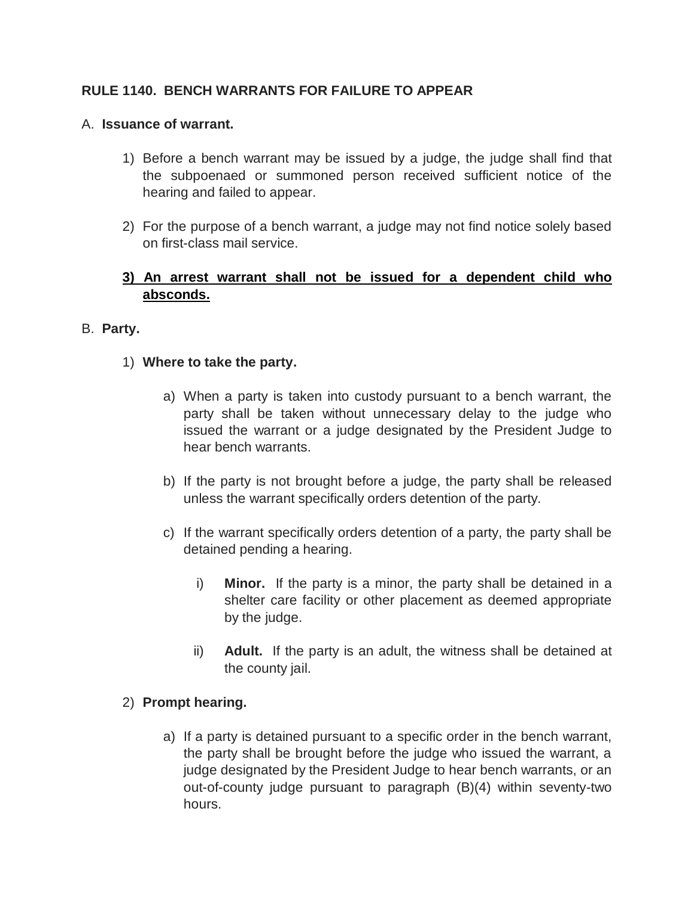# **RULE 1140. BENCH WARRANTS FOR FAILURE TO APPEAR**

### A. **Issuance of warrant.**

- 1) Before a bench warrant may be issued by a judge, the judge shall find that the subpoenaed or summoned person received sufficient notice of the hearing and failed to appear.
- 2) For the purpose of a bench warrant, a judge may not find notice solely based on first-class mail service.

# **3) An arrest warrant shall not be issued for a dependent child who absconds.**

### B. **Party.**

## 1) **Where to take the party.**

- a) When a party is taken into custody pursuant to a bench warrant, the party shall be taken without unnecessary delay to the judge who issued the warrant or a judge designated by the President Judge to hear bench warrants.
- b) If the party is not brought before a judge, the party shall be released unless the warrant specifically orders detention of the party.
- c) If the warrant specifically orders detention of a party, the party shall be detained pending a hearing.
	- i) **Minor.** If the party is a minor, the party shall be detained in a shelter care facility or other placement as deemed appropriate by the judge.
	- ii) **Adult.** If the party is an adult, the witness shall be detained at the county jail.

### 2) **Prompt hearing.**

a) If a party is detained pursuant to a specific order in the bench warrant, the party shall be brought before the judge who issued the warrant, a judge designated by the President Judge to hear bench warrants, or an out-of-county judge pursuant to paragraph (B)(4) within seventy-two hours.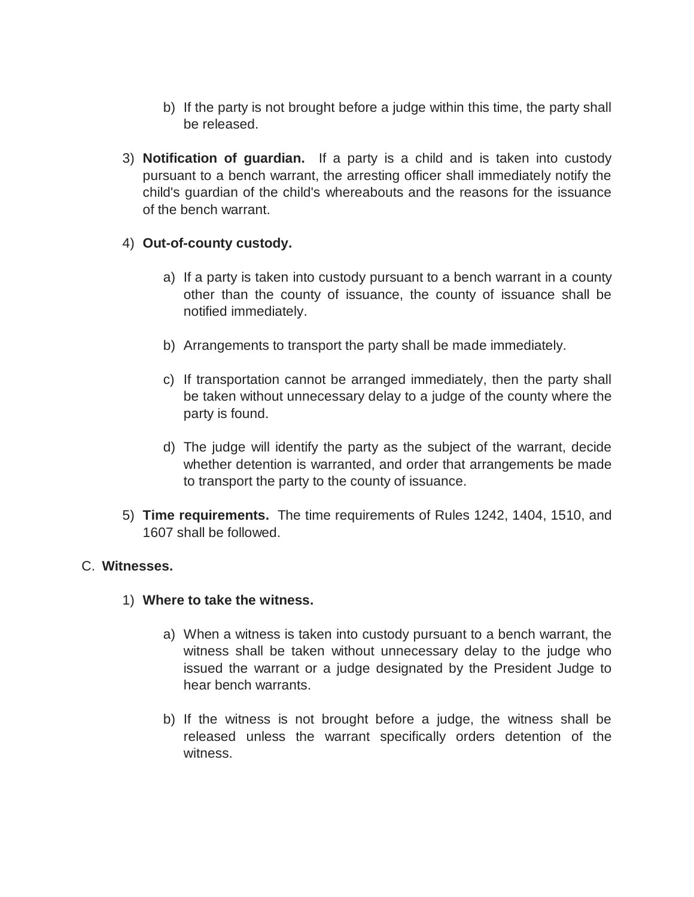- b) If the party is not brought before a judge within this time, the party shall be released.
- 3) **Notification of guardian.** If a party is a child and is taken into custody pursuant to a bench warrant, the arresting officer shall immediately notify the child's guardian of the child's whereabouts and the reasons for the issuance of the bench warrant.

## 4) **Out-of-county custody.**

- a) If a party is taken into custody pursuant to a bench warrant in a county other than the county of issuance, the county of issuance shall be notified immediately.
- b) Arrangements to transport the party shall be made immediately.
- c) If transportation cannot be arranged immediately, then the party shall be taken without unnecessary delay to a judge of the county where the party is found.
- d) The judge will identify the party as the subject of the warrant, decide whether detention is warranted, and order that arrangements be made to transport the party to the county of issuance.
- 5) **Time requirements.** The time requirements of Rules 1242, 1404, 1510, and 1607 shall be followed.

### C. **Witnesses.**

- 1) **Where to take the witness.**
	- a) When a witness is taken into custody pursuant to a bench warrant, the witness shall be taken without unnecessary delay to the judge who issued the warrant or a judge designated by the President Judge to hear bench warrants.
	- b) If the witness is not brought before a judge, the witness shall be released unless the warrant specifically orders detention of the witness.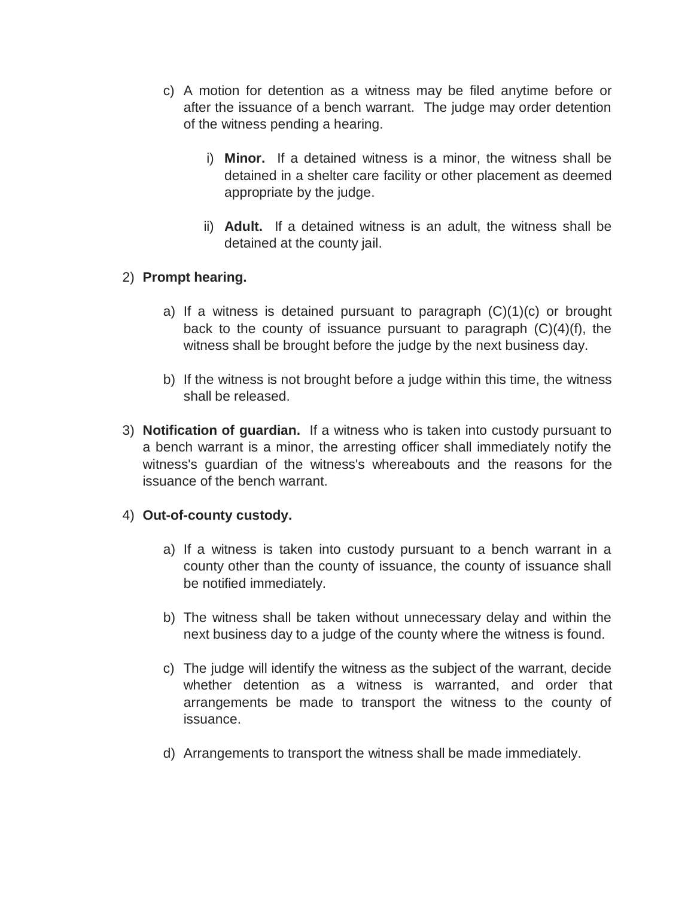- c) A motion for detention as a witness may be filed anytime before or after the issuance of a bench warrant. The judge may order detention of the witness pending a hearing.
	- i) **Minor.** If a detained witness is a minor, the witness shall be detained in a shelter care facility or other placement as deemed appropriate by the judge.
	- ii) **Adult.** If a detained witness is an adult, the witness shall be detained at the county jail.

## 2) **Prompt hearing.**

- a) If a witness is detained pursuant to paragraph  $(C)(1)(c)$  or brought back to the county of issuance pursuant to paragraph (C)(4)(f), the witness shall be brought before the judge by the next business day.
- b) If the witness is not brought before a judge within this time, the witness shall be released.
- 3) **Notification of guardian.** If a witness who is taken into custody pursuant to a bench warrant is a minor, the arresting officer shall immediately notify the witness's guardian of the witness's whereabouts and the reasons for the issuance of the bench warrant.

### 4) **Out-of-county custody.**

- a) If a witness is taken into custody pursuant to a bench warrant in a county other than the county of issuance, the county of issuance shall be notified immediately.
- b) The witness shall be taken without unnecessary delay and within the next business day to a judge of the county where the witness is found.
- c) The judge will identify the witness as the subject of the warrant, decide whether detention as a witness is warranted, and order that arrangements be made to transport the witness to the county of issuance.
- d) Arrangements to transport the witness shall be made immediately.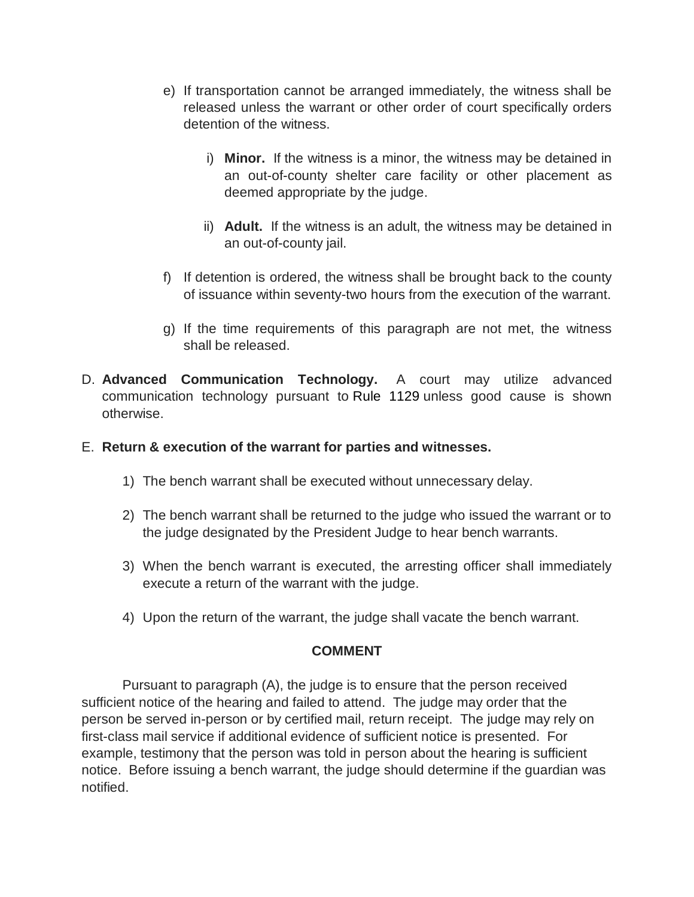- e) If transportation cannot be arranged immediately, the witness shall be released unless the warrant or other order of court specifically orders detention of the witness.
	- i) **Minor.** If the witness is a minor, the witness may be detained in an out-of-county shelter care facility or other placement as deemed appropriate by the judge.
	- ii) **Adult.** If the witness is an adult, the witness may be detained in an out-of-county jail.
- f) If detention is ordered, the witness shall be brought back to the county of issuance within seventy-two hours from the execution of the warrant.
- g) If the time requirements of this paragraph are not met, the witness shall be released.
- D. **Advanced Communication Technology.** A court may utilize advanced communication technology pursuant to Rule 1129 unless good cause is shown otherwise.

### E. **Return & execution of the warrant for parties and witnesses.**

- 1) The bench warrant shall be executed without unnecessary delay.
- 2) The bench warrant shall be returned to the judge who issued the warrant or to the judge designated by the President Judge to hear bench warrants.
- 3) When the bench warrant is executed, the arresting officer shall immediately execute a return of the warrant with the judge.
- 4) Upon the return of the warrant, the judge shall vacate the bench warrant.

### **COMMENT**

Pursuant to paragraph (A), the judge is to ensure that the person received sufficient notice of the hearing and failed to attend. The judge may order that the person be served in-person or by certified mail, return receipt. The judge may rely on first-class mail service if additional evidence of sufficient notice is presented. For example, testimony that the person was told in person about the hearing is sufficient notice. Before issuing a bench warrant, the judge should determine if the guardian was notified.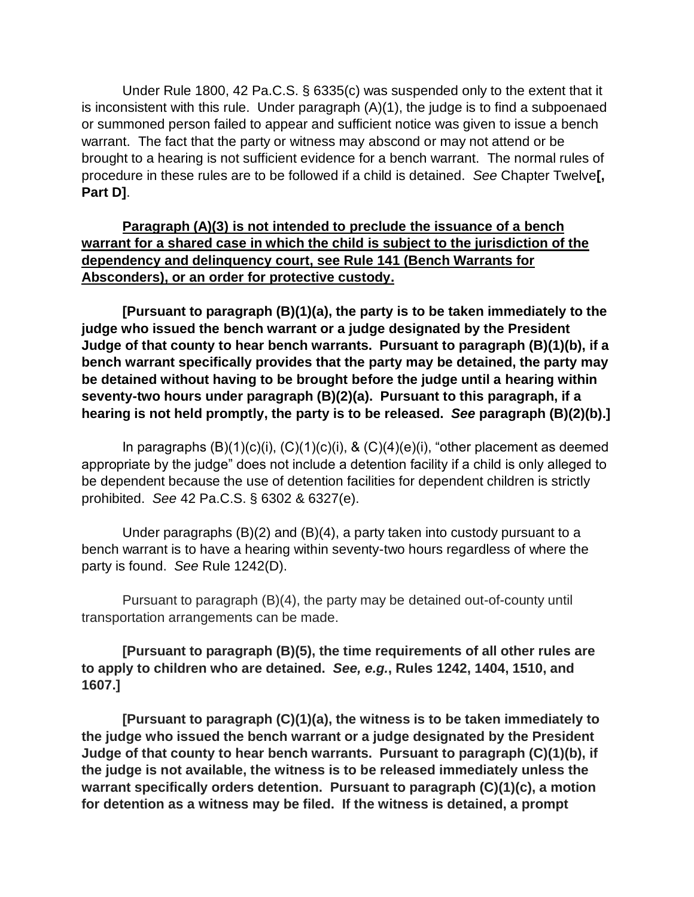Under Rule 1800, 42 Pa.C.S. § 6335(c) was suspended only to the extent that it is inconsistent with this rule. Under paragraph (A)(1), the judge is to find a subpoenaed or summoned person failed to appear and sufficient notice was given to issue a bench warrant. The fact that the party or witness may abscond or may not attend or be brought to a hearing is not sufficient evidence for a bench warrant. The normal rules of procedure in these rules are to be followed if a child is detained. *See* Chapter Twelve**[, Part D]**.

# **Paragraph (A)(3) is not intended to preclude the issuance of a bench warrant for a shared case in which the child is subject to the jurisdiction of the dependency and delinquency court, see Rule 141 (Bench Warrants for Absconders), or an order for protective custody.**

**[Pursuant to paragraph (B)(1)(a), the party is to be taken immediately to the judge who issued the bench warrant or a judge designated by the President Judge of that county to hear bench warrants. Pursuant to paragraph (B)(1)(b), if a bench warrant specifically provides that the party may be detained, the party may be detained without having to be brought before the judge until a hearing within seventy-two hours under paragraph (B)(2)(a). Pursuant to this paragraph, if a hearing is not held promptly, the party is to be released.** *See* **paragraph (B)(2)(b).]**

In paragraphs  $(B)(1)(c)(i)$ ,  $(C)(1)(c)(i)$ ,  $\& (C)(4)(e)(i)$ , "other placement as deemed appropriate by the judge" does not include a detention facility if a child is only alleged to be dependent because the use of detention facilities for dependent children is strictly prohibited. *See* 42 Pa.C.S. § 6302 & 6327(e).

Under paragraphs (B)(2) and (B)(4), a party taken into custody pursuant to a bench warrant is to have a hearing within seventy-two hours regardless of where the party is found. *See* Rule 1242(D).

Pursuant to paragraph (B)(4), the party may be detained out-of-county until transportation arrangements can be made.

**[Pursuant to paragraph (B)(5), the time requirements of all other rules are to apply to children who are detained.** *See, e.g.***, Rules 1242, 1404, 1510, and 1607.]**

**[Pursuant to paragraph (C)(1)(a), the witness is to be taken immediately to the judge who issued the bench warrant or a judge designated by the President Judge of that county to hear bench warrants. Pursuant to paragraph (C)(1)(b), if the judge is not available, the witness is to be released immediately unless the warrant specifically orders detention. Pursuant to paragraph (C)(1)(c), a motion for detention as a witness may be filed. If the witness is detained, a prompt**